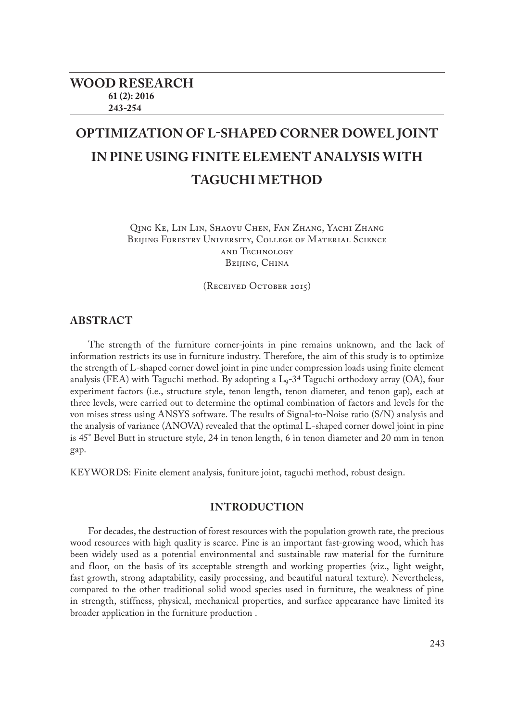# **OPTIMIZATION OF L-SHAPED CORNER DOWEL JOINT IN PINE USING FINITE ELEMENT ANALYSIS WITH TAGUCHI METHOD**

Qing Ke, Lin Lin, Shaoyu Chen, Fan Zhang, Yachi Zhang BEIJING FORESTRY UNIVERSITY, COLLEGE OF MATERIAL SCIENCE and Technology BEIJING, CHINA

(Received October 2015)

## **ABSTRACT**

The strength of the furniture corner-joints in pine remains unknown, and the lack of information restricts its use in furniture industry. Therefore, the aim of this study is to optimize the strength of L-shaped corner dowel joint in pine under compression loads using finite element analysis (FEA) with Taguchi method. By adopting a L<sub>9</sub>-3<sup>4</sup> Taguchi orthodoxy array (OA), four experiment factors (i.e., structure style, tenon length, tenon diameter, and tenon gap), each at three levels, were carried out to determine the optimal combination of factors and levels for the von mises stress using ANSYS software. The results of Signal-to-Noise ratio (S/N) analysis and the analysis of variance (ANOVA) revealed that the optimal L-shaped corner dowel joint in pine is 45° Bevel Butt in structure style, 24 in tenon length, 6 in tenon diameter and 20 mm in tenon gap.

KEYWORDS: Finite element analysis, funiture joint, taguchi method, robust design.

# **INTRODUCTION**

For decades, the destruction of forest resources with the population growth rate, the precious wood resources with high quality is scarce. Pine is an important fast-growing wood, which has been widely used as a potential environmental and sustainable raw material for the furniture and floor, on the basis of its acceptable strength and working properties (viz., light weight, fast growth, strong adaptability, easily processing, and beautiful natural texture). Nevertheless, compared to the other traditional solid wood species used in furniture, the weakness of pine in strength, stiffness, physical, mechanical properties, and surface appearance have limited its broader application in the furniture production .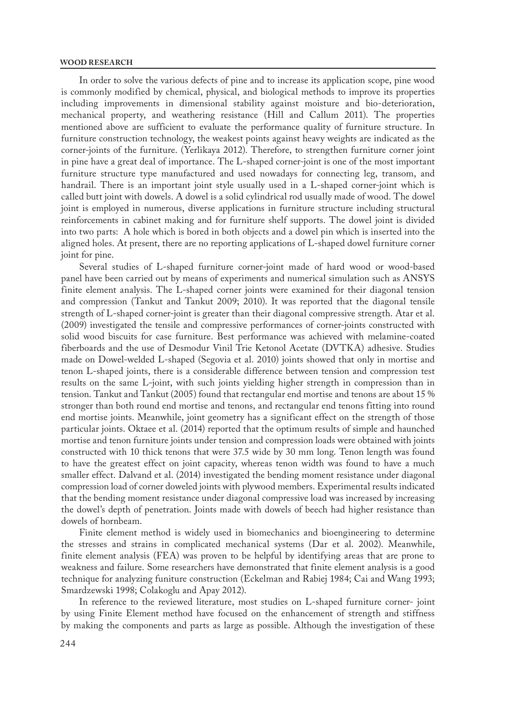In order to solve the various defects of pine and to increase its application scope, pine wood is commonly modified by chemical, physical, and biological methods to improve its properties including improvements in dimensional stability against moisture and bio-deterioration, mechanical property, and weathering resistance (Hill and Callum 2011). The properties mentioned above are sufficient to evaluate the performance quality of furniture structure. In furniture construction technology, the weakest points against heavy weights are indicated as the corner-joints of the furniture. (Yerlikaya 2012). Therefore, to strengthen furniture corner joint in pine have a great deal of importance. The L-shaped corner-joint is one of the most important furniture structure type manufactured and used nowadays for connecting leg, transom, and handrail. There is an important joint style usually used in a L-shaped corner-joint which is called butt joint with dowels. A dowel is a solid cylindrical rod usually made of wood. The dowel joint is employed in numerous, diverse applications in furniture structure including structural reinforcements in cabinet making and for furniture shelf supports. The dowel joint is divided into two parts: A hole which is bored in both objects and a dowel pin which is inserted into the aligned holes. At present, there are no reporting applications of L-shaped dowel furniture corner joint for pine.

Several studies of L-shaped furniture corner-joint made of hard wood or wood-based panel have been carried out by means of experiments and numerical simulation such as ANSYS finite element analysis. The L-shaped corner joints were examined for their diagonal tension and compression (Tankut and Tankut 2009; 2010). It was reported that the diagonal tensile strength of L-shaped corner-joint is greater than their diagonal compressive strength. Atar et al. (2009) investigated the tensile and compressive performances of corner-joints constructed with solid wood biscuits for case furniture. Best performance was achieved with melamine-coated fiberboards and the use of Desmodur Vinil Trie Ketonol Acetate (DVTKA) adhesive. Studies made on Dowel-welded L-shaped (Segovia et al. 2010) joints showed that only in mortise and tenon L-shaped joints, there is a considerable difference between tension and compression test results on the same L-joint, with such joints yielding higher strength in compression than in tension. Tankut and Tankut (2005) found that rectangular end mortise and tenons are about 15 % stronger than both round end mortise and tenons, and rectangular end tenons fitting into round end mortise joints. Meanwhile, joint geometry has a significant effect on the strength of those particular joints. Oktaee et al. (2014) reported that the optimum results of simple and haunched mortise and tenon furniture joints under tension and compression loads were obtained with joints constructed with 10 thick tenons that were 37.5 wide by 30 mm long. Tenon length was found to have the greatest effect on joint capacity, whereas tenon width was found to have a much smaller effect. Dalvand et al. (2014) investigated the bending moment resistance under diagonal compression load of corner doweled joints with plywood members. Experimental results indicated that the bending moment resistance under diagonal compressive load was increased by increasing the dowel's depth of penetration. Joints made with dowels of beech had higher resistance than dowels of hornbeam.

Finite element method is widely used in biomechanics and bioengineering to determine the stresses and strains in complicated mechanical systems (Dar et al. 2002). Meanwhile, finite element analysis (FEA) was proven to be helpful by identifying areas that are prone to weakness and failure. Some researchers have demonstrated that finite element analysis is a good technique for analyzing funiture construction (Eckelman and Rabiej 1984; Cai and Wang 1993; Smardzewski 1998; Colakoglu and Apay 2012).

In reference to the reviewed literature, most studies on L-shaped furniture corner- joint by using Finite Element method have focused on the enhancement of strength and stiffness by making the components and parts as large as possible. Although the investigation of these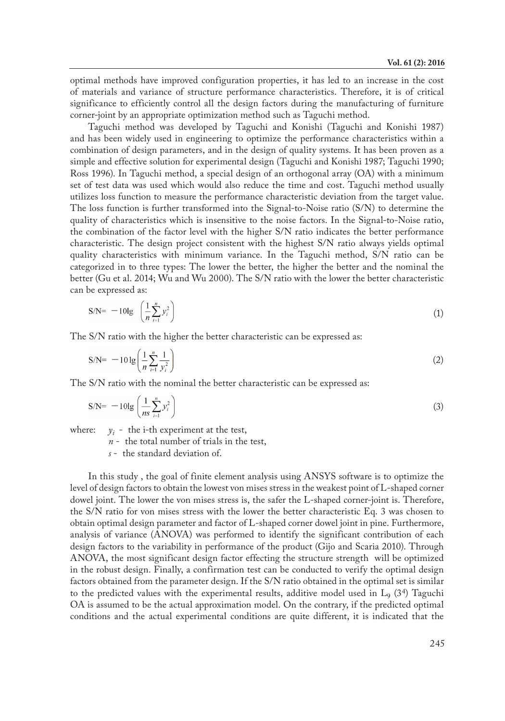optimal methods have improved configuration properties, it has led to an increase in the cost of materials and variance of structure performance characteristics. Therefore, it is of critical significance to efficiently control all the design factors during the manufacturing of furniture corner-joint by an appropriate optimization method such as Taguchi method.

Taguchi method was developed by Taguchi and Konishi (Taguchi and Konishi 1987) and has been widely used in engineering to optimize the performance characteristics within a combination of design parameters, and in the design of quality systems. It has been proven as a simple and effective solution for experimental design (Taguchi and Konishi 1987; Taguchi 1990; Ross 1996). In Taguchi method, a special design of an orthogonal array (OA) with a minimum set of test data was used which would also reduce the time and cost. Taguchi method usually utilizes loss function to measure the performance characteristic deviation from the target value. The loss function is further transformed into the Signal-to-Noise ratio (S/N) to determine the quality of characteristics which is insensitive to the noise factors. In the Signal-to-Noise ratio, the combination of the factor level with the higher S/N ratio indicates the better performance characteristic. The design project consistent with the highest S/N ratio always yields optimal quality characteristics with minimum variance. In the Taguchi method, S/N ratio can be categorized in to three types: The lower the better, the higher the better and the nominal the better (Gu et al. 2014; Wu and Wu 2000). The S/N ratio with the lower the better characteristic can be expressed as:

$$
S/N = -10lg \left( \frac{1}{n} \sum_{i=1}^{n} y_i^2 \right) \tag{1}
$$

The S/N ratio with the higher the better characteristic can be expressed as:

$$
S/N = -10 \lg \left( \frac{1}{n} \sum_{i=1}^{n} \frac{1}{y_i^2} \right) \tag{2}
$$

The S/N ratio with the nominal the better characteristic can be expressed as:

$$
S/N = -10lg\left(\frac{1}{ns}\sum_{i=1}^{n} y_i^2\right)
$$
\n(3)

where:  $y_i$  - the i-th experiment at the test,

*n* - the total number of trials in the test,

*s* - the standard deviation of.

In this study , the goal of finite element analysis using ANSYS software is to optimize the level of design factors to obtain the lowest von mises stress in the weakest point of L-shaped corner dowel joint. The lower the von mises stress is, the safer the L-shaped corner-joint is. Therefore, the S/N ratio for von mises stress with the lower the better characteristic Eq. 3 was chosen to obtain optimal design parameter and factor of L-shaped corner dowel joint in pine. Furthermore, analysis of variance (ANOVA) was performed to identify the significant contribution of each design factors to the variability in performance of the product (Gijo and Scaria 2010). Through ANOVA, the most significant design factor effecting the structure strength will be optimized in the robust design. Finally, a confirmation test can be conducted to verify the optimal design factors obtained from the parameter design. If the S/N ratio obtained in the optimal set is similar to the predicted values with the experimental results, additive model used in  $L<sub>9</sub>$  (3<sup>4</sup>) Taguchi OA is assumed to be the actual approximation model. On the contrary, if the predicted optimal conditions and the actual experimental conditions are quite different, it is indicated that the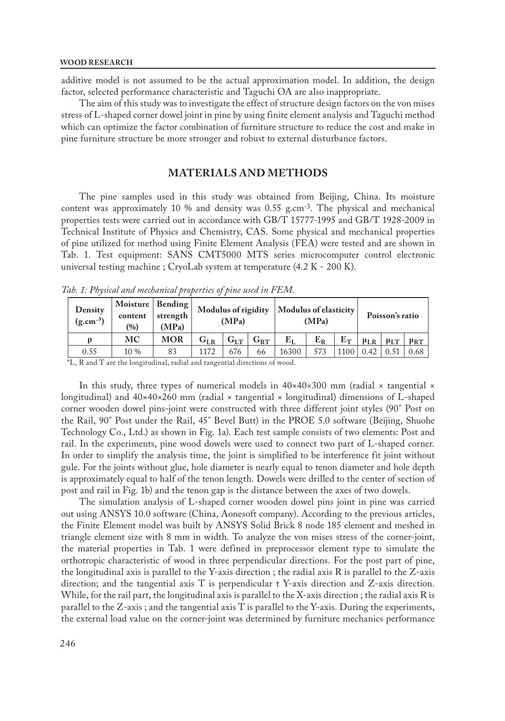additive model is not assumed to be the actual approximation model. In addition, the design factor, selected performance characteristic and Taguchi OA are also inappropriate.

The aim of this study was to investigate the effect of structure design factors on the von mises stress of L-shaped corner dowel joint in pine by using finite element analysis and Taguchi method which can optimize the factor combination of furniture structure to reduce the cost and make in pine furniture structure be more stronger and robust to external disturbance factors.

# **MATERIALS AND METHODS**

The pine samples used in this study was obtained from Beijing, China. Its moisture content was approximately 10 % and density was 0.55 g.cm-3. The physical and mechanical properties tests were carried out in accordance with GB/T 15777-1995 and GB/T 1928-2009 in Technical Institute of Physics and Chemistry, CAS. Some physical and mechanical properties of pine utilized for method using Finite Element Analysis (FEA) were tested and are shown in Tab. 1. Test equipment: SANS CMT5000 MTS series microcomputer control electronic universal testing machine ; CryoLab system at temperature (4.2 K - 200 K).

| Density<br>$(g.cm^{-3})$ | Moisture   Bending  <br>content<br>(%) | strength<br>(MPa) | Modulus of rigidity<br>(MPa) |          |          | Modulus of elasticity<br>(MPa) |       |             | Poisson's ratio       |            |            |
|--------------------------|----------------------------------------|-------------------|------------------------------|----------|----------|--------------------------------|-------|-------------|-----------------------|------------|------------|
|                          | MC                                     | <b>MOR</b>        | $G_{LR}$                     | $G_{LT}$ | $G_{RT}$ | $E_L$                          | $E_R$ | $E_T$       | $\mu_{LR}$ $\mu_{LT}$ |            | $\mu_{RT}$ |
| 0.55                     | $10\%$                                 | 83                | 1172                         | 676      | 66       | 16300                          | 573   | 1100   0.42 |                       | $\pm 0.51$ | 0.68       |

*Tab. 1: Physical and mechanical properties of pine used in FEM.*

\*L, R and T are the longitudinal, radial and tangential directions of wood.

In this study, three types of numerical models in 40×40×300 mm (radial × tangential × longitudinal) and  $40 \times 40 \times 260$  mm (radial  $\times$  tangential  $\times$  longitudinal) dimensions of L-shaped corner wooden dowel pins-joint were constructed with three different joint styles (90° Post on the Rail, 90° Post under the Rail, 45° Bevel Butt) in the PROE 5.0 software (Beijing, Shuohe Technology Co., Ltd.) as shown in Fig. 1a). Each test sample consists of two elements: Post and rail. In the experiments, pine wood dowels were used to connect two part of L-shaped corner. In order to simplify the analysis time, the joint is simplified to be interference fit joint without gule. For the joints without glue, hole diameter is nearly equal to tenon diameter and hole depth is approximately equal to half of the tenon length. Dowels were drilled to the center of section of post and rail in Fig. 1b) and the tenon gap is the distance between the axes of two dowels.

The simulation analysis of L-shaped corner wooden dowel pins joint in pine was carried out using ANSYS 10.0 software (China, Aonesoft company). According to the previous articles, the Finite Element model was built by ANSYS Solid Brick 8 node 185 element and meshed in triangle element size with 8 mm in width. To analyze the von mises stress of the corner-joint, the material properties in Tab. 1 were defined in preprocessor element type to simulate the orthotropic characteristic of wood in three perpendicular directions. For the post part of pine, the longitudinal axis is parallel to the Y-axis direction ; the radial axis R is parallel to the Z-axis direction; and the tangential axis T is perpendicular t Y-axis direction and Z-axis direction. While, for the rail part, the longitudinal axis is parallel to the X-axis direction ; the radial axis R is parallel to the Z-axis ; and the tangential axis T is parallel to the Y-axis. During the experiments, the external load value on the corner-joint was determined by furniture mechanics performance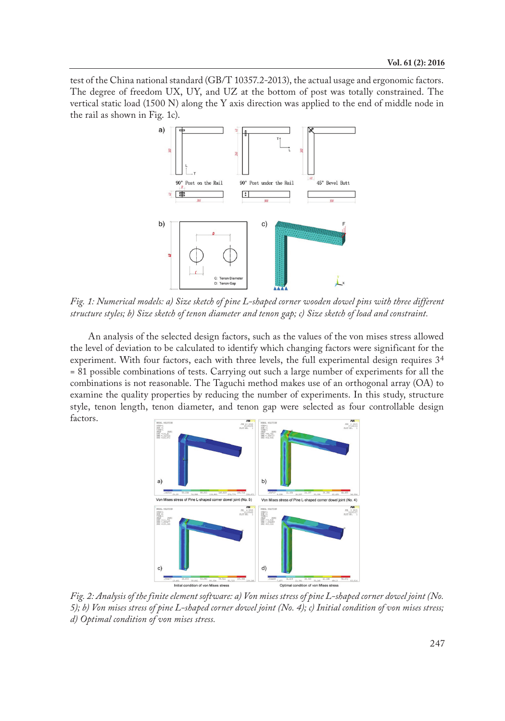test of the China national standard (GB/T 10357.2-2013), the actual usage and ergonomic factors. The degree of freedom UX, UY, and UZ at the bottom of post was totally constrained. The vertical static load (1500 N) along the Y axis direction was applied to the end of middle node in the rail as shown in Fig. 1c).



*Fig. 1: Numerical models: a) Size sketch of pine L-shaped corner wooden dowel pins with three different structure styles; b) Size sketch of tenon diameter and tenon gap; c) Size sketch of load and constraint.*

An analysis of the selected design factors, such as the values of the von mises stress allowed the level of deviation to be calculated to identify which changing factors were significant for the experiment. With four factors, each with three levels, the full experimental design requires 3<sup>4</sup> = 81 possible combinations of tests. Carrying out such a large number of experiments for all the combinations is not reasonable. The Taguchi method makes use of an orthogonal array (OA) to examine the quality properties by reducing the number of experiments. In this study, structure style, tenon length, tenon diameter, and tenon gap were selected as four controllable design factors.



*Fig. 2: Analysis of the finite element software: a) Von mises stress of pine L-shaped corner dowel joint (No. 5); b) Von mises stress of pine L-shaped corner dowel joint (No. 4); c) Initial condition of von mises stress; d) Optimal condition of von mises stress.*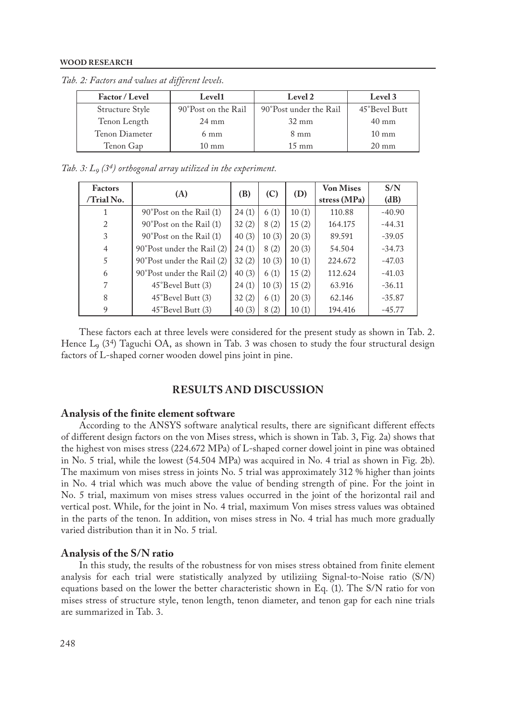| Factor / Level                         | Level1          | Level 2                | Level 3         |  |
|----------------------------------------|-----------------|------------------------|-----------------|--|
| Structure Style<br>90°Post on the Rail |                 | 90°Post under the Rail | 45°Bevel Butt   |  |
| Tenon Length                           | $24 \text{ mm}$ | $32 \text{ mm}$        | $40 \text{ mm}$ |  |
| Tenon Diameter                         | $6 \text{ mm}$  | $8 \text{ mm}$         | $10 \text{ mm}$ |  |
| Tenon Gap                              | $10 \text{ mm}$ | $15 \text{ mm}$        | $20 \text{ mm}$ |  |

*Tab. 2: Factors and values at different levels.*

*Tab. 3: L9 (34) orthogonal array utilized in the experiment.*

| <b>Factors</b><br>$/T$ rial No. | (A)                              | (B)   | (C)   | (D)   | <b>Von Mises</b><br>stress (MPa) | S/N<br>(dB) |
|---------------------------------|----------------------------------|-------|-------|-------|----------------------------------|-------------|
|                                 | 24(1)<br>90°Post on the Rail (1) |       | 6(1)  | 10(1) | 110.88                           | $-40.90$    |
| $\overline{c}$                  | 90°Post on the Rail (1)          | 32(2) | 8(2)  | 15(2) | 164.175                          | $-44.31$    |
| 3                               | 90°Post on the Rail (1)          | 40(3) | 10(3) | 20(3) | 89.591                           | $-39.05$    |
| $\overline{4}$                  | 90°Post under the Rail (2)       | 24(1) | 8(2)  | 20(3) | 54.504                           | $-34.73$    |
| 5                               | 90°Post under the Rail (2)       | 32(2) | 10(3) | 10(1) | 224.672                          | $-47.03$    |
| 6                               | 90°Post under the Rail (2)       | 40(3) | 6(1)  | 15(2) | 112.624                          | $-41.03$    |
| 7                               | 45°Bevel Butt (3)                | 24(1) | 10(3) | 15(2) | 63.916                           | $-36.11$    |
| 8                               | 45°Bevel Butt (3)                | 32(2) | 6(1)  | 20(3) | 62.146                           | $-35.87$    |
| 9                               | 45°Bevel Butt (3)                | 40(3) | 8(2)  | 10(1) | 194.416                          | $-45.77$    |

These factors each at three levels were considered for the present study as shown in Tab. 2. Hence  $L<sub>9</sub>$  (3<sup>4</sup>) Taguchi OA, as shown in Tab. 3 was chosen to study the four structural design factors of L-shaped corner wooden dowel pins joint in pine.

# **RESULTS AND DISCUSSION**

## **Analysis of the finite element software**

According to the ANSYS software analytical results, there are significant different effects of different design factors on the von Mises stress, which is shown in Tab. 3, Fig. 2a) shows that the highest von mises stress (224.672 MPa) of L-shaped corner dowel joint in pine was obtained in No. 5 trial, while the lowest (54.504 MPa) was acquired in No. 4 trial as shown in Fig. 2b). The maximum von mises stress in joints No. 5 trial was approximately 312 % higher than joints in No. 4 trial which was much above the value of bending strength of pine. For the joint in No. 5 trial, maximum von mises stress values occurred in the joint of the horizontal rail and vertical post. While, for the joint in No. 4 trial, maximum Von mises stress values was obtained in the parts of the tenon. In addition, von mises stress in No. 4 trial has much more gradually varied distribution than it in No. 5 trial.

## **Analysis of the S/N ratio**

In this study, the results of the robustness for von mises stress obtained from finite element analysis for each trial were statistically analyzed by utiliziing Signal-to-Noise ratio (S/N) equations based on the lower the better characteristic shown in Eq. (1). The S/N ratio for von mises stress of structure style, tenon length, tenon diameter, and tenon gap for each nine trials are summarized in Tab. 3.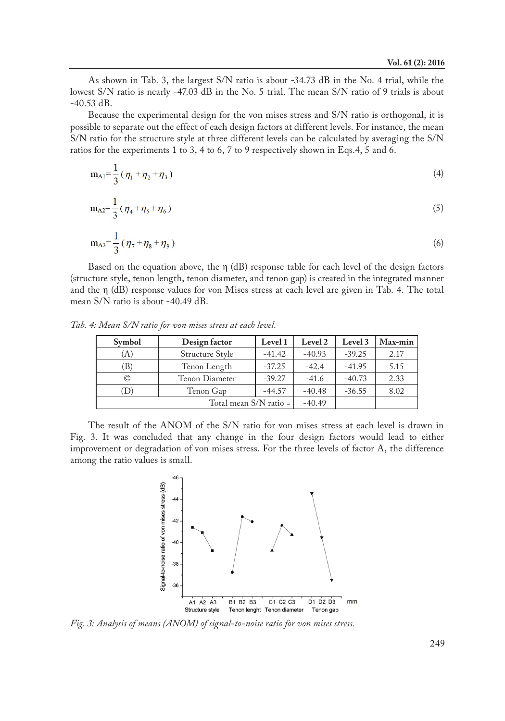As shown in Tab. 3, the largest S/N ratio is about -34.73 dB in the No. 4 trial, while the lowest S/N ratio is nearly -47.03 dB in the No. 5 trial. The mean S/N ratio of 9 trials is about -40.53 dB.

Because the experimental design for the von mises stress and S/N ratio is orthogonal, it is possible to separate out the effect of each design factors at different levels. For instance, the mean S/N ratio for the structure style at three different levels can be calculated by averaging the S/N ratios for the experiments 1 to 3, 4 to 6, 7 to 9 respectively shown in Eqs.4, 5 and 6.

$$
m_{Al} = \frac{1}{3} (\eta_1 + \eta_2 + \eta_3)
$$
 (4)

$$
m_{A2} = \frac{1}{3} (\eta_4 + \eta_5 + \eta_6) \tag{5}
$$

$$
m_{A3} = \frac{1}{3} (\eta_7 + \eta_8 + \eta_9) \tag{6}
$$

Based on the equation above, the  $\eta$  (dB) response table for each level of the design factors (structure style, tenon length, tenon diameter, and tenon gap) is created in the integrated manner and the η (dB) response values for von Mises stress at each level are given in Tab. 4. The total mean S/N ratio is about -40.49 dB.

*Tab. 4: Mean S/N ratio for von mises stress at each level.*

| Symbol                                    | Design factor | Level 1  | Level 2  | Level 3  | Max-min |
|-------------------------------------------|---------------|----------|----------|----------|---------|
| Structure Style<br>(A)                    |               | $-41.42$ | $-40.93$ | $-39.25$ | 2.17    |
| Tenon Length<br>B)<br>Tenon Diameter<br>O |               | $-37.25$ | $-42.4$  | $-41.95$ | 5.15    |
|                                           |               | $-39.27$ | $-41.6$  | $-40.73$ | 2.33    |
| D)                                        | Tenon Gap     | $-44.57$ | $-40.48$ | $-36.55$ | 8.02    |
|                                           | $-40.49$      |          |          |          |         |

The result of the ANOM of the S/N ratio for von mises stress at each level is drawn in Fig. 3. It was concluded that any change in the four design factors would lead to either improvement or degradation of von mises stress. For the three levels of factor A, the difference among the ratio values is small.



*Fig. 3: Analysis of means (ANOM) of signal-to-noise ratio for von mises stress.*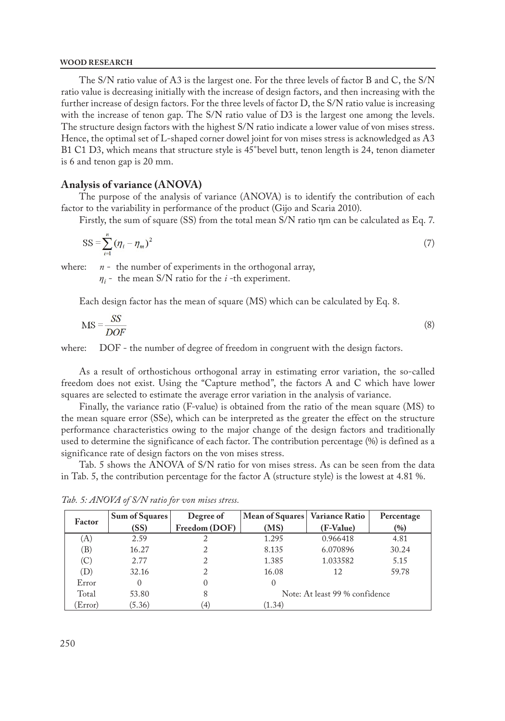The S/N ratio value of A3 is the largest one. For the three levels of factor B and C, the S/N ratio value is decreasing initially with the increase of design factors, and then increasing with the further increase of design factors. For the three levels of factor D, the S/N ratio value is increasing with the increase of tenon gap. The S/N ratio value of D3 is the largest one among the levels. The structure design factors with the highest S/N ratio indicate a lower value of von mises stress. Hence, the optimal set of L-shaped corner dowel joint for von mises stress is acknowledged as A3 B1 C1 D3, which means that structure style is 45°bevel butt, tenon length is 24, tenon diameter is 6 and tenon gap is 20 mm.

## **Analysis of variance (ANOVA)**

The purpose of the analysis of variance (ANOVA) is to identify the contribution of each factor to the variability in performance of the product (Gijo and Scaria 2010).

Firstly, the sum of square (SS) from the total mean S/N ratio ηm can be calculated as Eq. 7.

$$
SS = \sum_{i=1}^{n} (\eta_i - \eta_m)^2
$$
 (7)

where: *n* - the number of experiments in the orthogonal array,

*η<sup>i</sup>* - the mean S/N ratio for the *i* -th experiment.

Each design factor has the mean of square (MS) which can be calculated by Eq. 8.

$$
MS = \frac{SS}{DOF}
$$
 (8)

where: DOF - the number of degree of freedom in congruent with the design factors.

As a result of orthostichous orthogonal array in estimating error variation, the so-called freedom does not exist. Using the "Capture method", the factors A and C which have lower squares are selected to estimate the average error variation in the analysis of variance.

Finally, the variance ratio (F-value) is obtained from the ratio of the mean square (MS) to the mean square error (SSe), which can be interpreted as the greater the effect on the structure performance characteristics owing to the major change of the design factors and traditionally used to determine the significance of each factor. The contribution percentage (%) is defined as a significance rate of design factors on the von mises stress.

Tab. 5 shows the ANOVA of S/N ratio for von mises stress. As can be seen from the data in Tab. 5, the contribution percentage for the factor A (structure style) is the lowest at 4.81 %.

| Factor  | Sum of Squares | Degree of        | Mean of Squares | <b>Variance Ratio</b>          | Percentage |
|---------|----------------|------------------|-----------------|--------------------------------|------------|
|         | (SS)           | Freedom (DOF)    | (MS)            | (F-Value)                      | (%)        |
| (A)     | 2.59           |                  | 1.295           | 0.966418                       | 4.81       |
| (B)     | 16.27          |                  | 8.135           | 6.070896                       | 30.24      |
| (C)     | 2.77           |                  | 1.385           | 1.033582                       | 5.15       |
| (D)     | 32.16          |                  | 16.08           | 12                             | 59.78      |
| Error   | 0              | $\left( \right)$ | $\Omega$        |                                |            |
| Total   | 53.80          | 8                |                 | Note: At least 99 % confidence |            |
| (Error) | (5.36)         | [4]              | (1.34)          |                                |            |

*Tab. 5: ANOVA of S/N ratio for von mises stress.*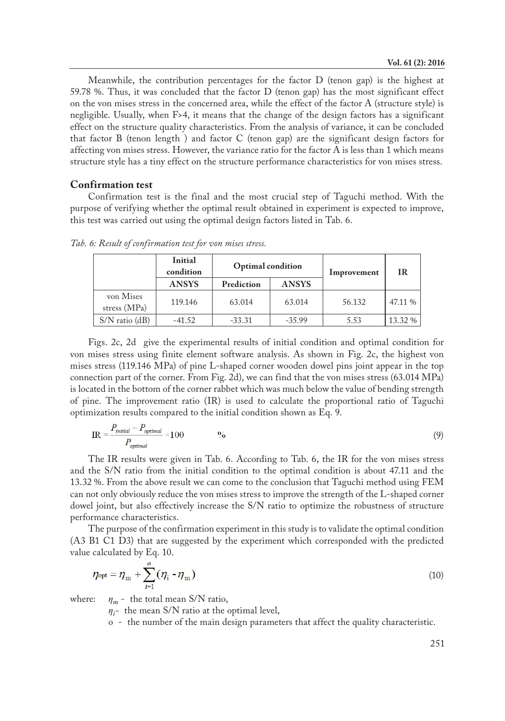Meanwhile, the contribution percentages for the factor  $D$  (tenon gap) is the highest at 59.78 %. Thus, it was concluded that the factor D (tenon gap) has the most significant effect on the von mises stress in the concerned area, while the effect of the factor A (structure style) is negligible. Usually, when F>4, it means that the change of the design factors has a significant effect on the structure quality characteristics. From the analysis of variance, it can be concluded that factor B (tenon length ) and factor C (tenon gap) are the significant design factors for affecting von mises stress. However, the variance ratio for the factor A is less than 1 which means structure style has a tiny effect on the structure performance characteristics for von mises stress.

## **Confirmation test**

Confirmation test is the final and the most crucial step of Taguchi method. With the purpose of verifying whether the optimal result obtained in experiment is expected to improve, this test was carried out using the optimal design factors listed in Tab. 6.

|                           | Initial<br>condition | <b>Optimal</b> condition |              | Improvement | <b>IR</b> |  |
|---------------------------|----------------------|--------------------------|--------------|-------------|-----------|--|
|                           | <b>ANSYS</b>         | Prediction               | <b>ANSYS</b> |             |           |  |
| von Mises<br>stress (MPa) | 119.146              | 63.014                   | 63.014       | 56.132      | 47.11 %   |  |
| $S/N$ ratio (dB)          | $-41.52$             | $-33.31$                 | $-35.99$     | 5.53        | 13.32 %   |  |

*Tab. 6: Result of confirmation test for von mises stress.* 

Figs. 2c, 2d give the experimental results of initial condition and optimal condition for von mises stress using finite element software analysis. As shown in Fig. 2c, the highest von mises stress (119.146 MPa) of pine L-shaped corner wooden dowel pins joint appear in the top connection part of the corner. From Fig. 2d), we can find that the von mises stress (63.014 MPa) is located in the bottom of the corner rabbet which was much below the value of bending strength of pine. The improvement ratio (IR) is used to calculate the proportional ratio of Taguchi optimization results compared to the initial condition shown as Eq. 9.

$$
IR = \frac{P_{initial} - P_{optimal}}{P_{optimal}} \times 100
$$

The IR results were given in Tab. 6. According to Tab. 6, the IR for the von mises stress and the S/N ratio from the initial condition to the optimal condition is about 47.11 and the 13.32 %. From the above result we can come to the conclusion that Taguchi method using FEM can not only obviously reduce the von mises stress to improve the strength of the L-shaped corner dowel joint, but also effectively increase the S/N ratio to optimize the robustness of structure performance characteristics.

The purpose of the confirmation experiment in this study is to validate the optimal condition (A3 B1 C1 D3) that are suggested by the experiment which corresponded with the predicted value calculated by Eq. 10.

$$
\eta_{\text{opt}} = \eta_{\text{m}} + \sum_{i=1}^{o} (\eta_{i} - \eta_{\text{m}})
$$
\n(10)

where:  $\eta_m$  - the total mean S/N ratio,

*ηi -* the mean S/N ratio at the optimal level,

o - the number of the main design parameters that affect the quality characteristic.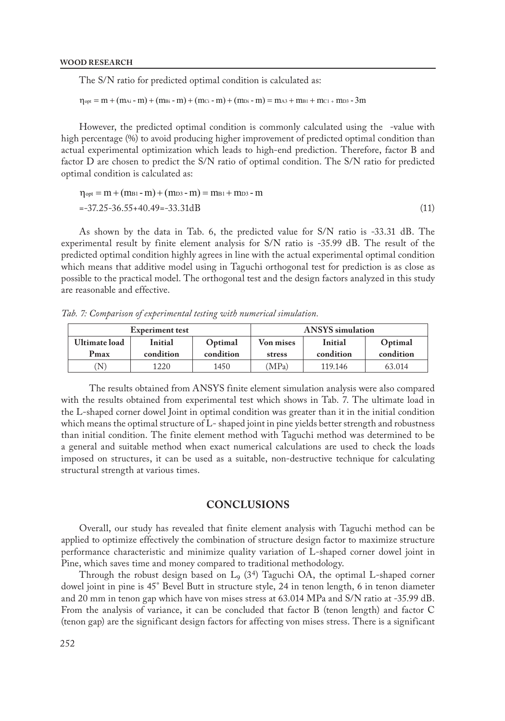The S/N ratio for predicted optimal condition is calculated as:

```
\eta_{opt} = m + (m_{Ai} - m) + (m_{Bi} - m) + (m_{Ci} - m) + (m_{Di} - m) = m_{A3} + m_{B1} + m_{C1} + m_{D3} - 3m
```
However, the predicted optimal condition is commonly calculated using the -value with high percentage (%) to avoid producing higher improvement of predicted optimal condition than actual experimental optimization which leads to high-end prediction. Therefore, factor B and factor D are chosen to predict the S/N ratio of optimal condition. The S/N ratio for predicted optimal condition is calculated as:

$$
\eta_{opt} = m + (m_{B1} - m) + (m_{D3} - m) = m_{B1} + m_{D3} - m
$$
  
=-37.25-36.55+40.49 = -33.31dB (11)

As shown by the data in Tab. 6, the predicted value for S/N ratio is -33.31 dB. The experimental result by finite element analysis for S/N ratio is -35.99 dB. The result of the predicted optimal condition highly agrees in line with the actual experimental optimal condition which means that additive model using in Taguchi orthogonal test for prediction is as close as possible to the practical model. The orthogonal test and the design factors analyzed in this study are reasonable and effective.

*Tab. 7: Comparison of experimental testing with numerical simulation.* 

|                      | <b>Experiment test</b> |           | <b>ANSYS</b> simulation |           |           |  |
|----------------------|------------------------|-----------|-------------------------|-----------|-----------|--|
| <b>Ultimate load</b> | Initial                | Optimal   | Von mises               | Initial   | Optimal   |  |
| Pmax                 | condition              | condition | stress                  | condition | condition |  |
| N                    | 1220                   | 1450      | (MPa)                   | 119.146   | 63.014    |  |

 The results obtained from ANSYS finite element simulation analysis were also compared with the results obtained from experimental test which shows in Tab. 7. The ultimate load in the L-shaped corner dowel Joint in optimal condition was greater than it in the initial condition which means the optimal structure of L- shaped joint in pine yields better strength and robustness than initial condition. The finite element method with Taguchi method was determined to be a general and suitable method when exact numerical calculations are used to check the loads imposed on structures, it can be used as a suitable, non-destructive technique for calculating structural strength at various times.

# **CONCLUSIONS**

Overall, our study has revealed that finite element analysis with Taguchi method can be applied to optimize effectively the combination of structure design factor to maximize structure performance characteristic and minimize quality variation of L-shaped corner dowel joint in Pine, which saves time and money compared to traditional methodology.

Through the robust design based on  $L_9$  (3<sup>4</sup>) Taguchi OA, the optimal L-shaped corner dowel joint in pine is 45° Bevel Butt in structure style, 24 in tenon length, 6 in tenon diameter and 20 mm in tenon gap which have von mises stress at 63.014 MPa and S/N ratio at -35.99 dB. From the analysis of variance, it can be concluded that factor B (tenon length) and factor C (tenon gap) are the significant design factors for affecting von mises stress. There is a significant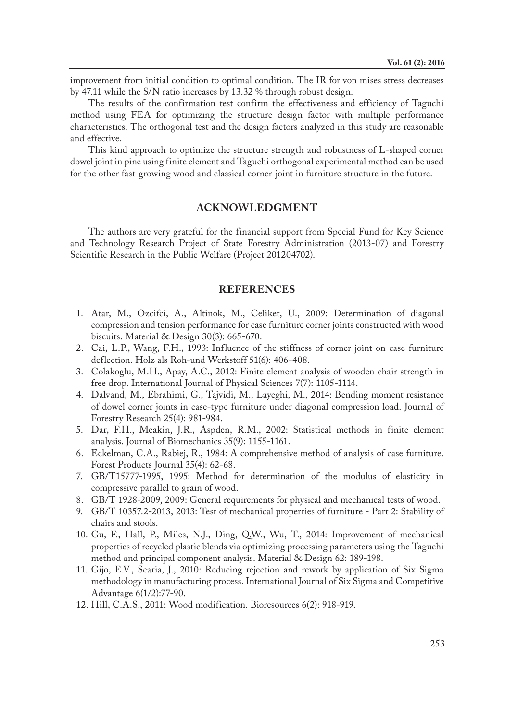improvement from initial condition to optimal condition. The IR for von mises stress decreases by 47.11 while the S/N ratio increases by 13.32 % through robust design.

The results of the confirmation test confirm the effectiveness and efficiency of Taguchi method using FEA for optimizing the structure design factor with multiple performance characteristics. The orthogonal test and the design factors analyzed in this study are reasonable and effective.

This kind approach to optimize the structure strength and robustness of L-shaped corner dowel joint in pine using finite element and Taguchi orthogonal experimental method can be used for the other fast-growing wood and classical corner-joint in furniture structure in the future.

# **ACKNOWLEDGMENT**

The authors are very grateful for the financial support from Special Fund for Key Science and Technology Research Project of State Forestry Administration (2013-07) and Forestry Scientific Research in the Public Welfare (Project 201204702).

## **REFERENCES**

- 1. Atar, M., Ozcifci, A., Altinok, M., Celiket, U., 2009: Determination of diagonal compression and tension performance for case furniture corner joints constructed with wood biscuits. Material & Design 30(3): 665-670.
- 2. Cai, L.P., Wang, F.H., 1993: Influence of the stiffness of corner joint on case furniture deflection. Holz als Roh-und Werkstoff 51(6): 406-408.
- 3. Colakoglu, M.H., Apay, A.C., 2012: Finite element analysis of wooden chair strength in free drop. International Journal of Physical Sciences 7(7): 1105-1114.
- 4. Dalvand, M., Ebrahimi, G., Tajvidi, M., Layeghi, M., 2014: Bending moment resistance of dowel corner joints in case-type furniture under diagonal compression load. Journal of Forestry Research 25(4): 981-984.
- 5. Dar, F.H., Meakin, J.R., Aspden, R.M., 2002: Statistical methods in finite element analysis. Journal of Biomechanics 35(9): 1155-1161.
- 6. Eckelman, C.A., Rabiej, R., 1984: A comprehensive method of analysis of case furniture. Forest Products Journal 35(4): 62-68.
- 7. GB/T15777-1995, 1995: Method for determination of the modulus of elasticity in compressive parallel to grain of wood.
- 8. GB/T 1928-2009, 2009: General requirements for physical and mechanical tests of wood.
- 9. GB/T 10357.2-2013, 2013: Test of mechanical properties of furniture Part 2: Stability of chairs and stools.
- 10. Gu, F., Hall, P., Miles, N.J., Ding, Q.W., Wu, T., 2014: Improvement of mechanical properties of recycled plastic blends via optimizing processing parameters using the Taguchi method and principal component analysis. Material & Design 62: 189-198.
- 11. Gijo, E.V., Scaria, J., 2010: Reducing rejection and rework by application of Six Sigma methodology in manufacturing process. International Journal of Six Sigma and Competitive Advantage 6(1/2):77-90.
- 12. Hill, C.A.S., 2011: Wood modification. Bioresources 6(2): 918-919.